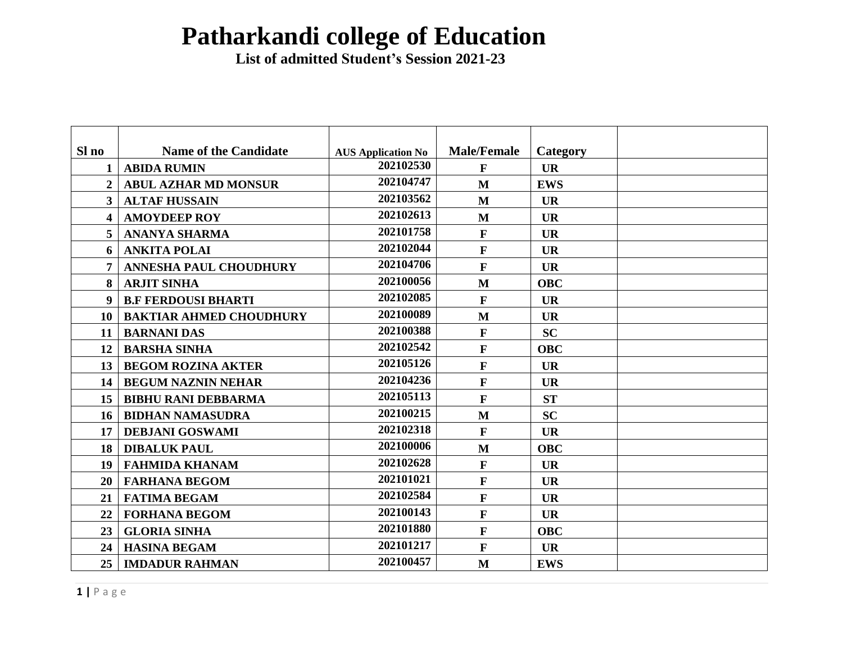## **Patharkandi college of Education**

 **List of admitted Student's Session 2021-23**

| Sl no                   | <b>Name of the Candidate</b>   | <b>AUS Application No</b> | <b>Male/Female</b> | Category   |  |
|-------------------------|--------------------------------|---------------------------|--------------------|------------|--|
|                         | <b>ABIDA RUMIN</b>             | 202102530                 | $\mathbf F$        | <b>UR</b>  |  |
| $\overline{2}$          | <b>ABUL AZHAR MD MONSUR</b>    | 202104747                 | M                  | <b>EWS</b> |  |
| $\overline{\mathbf{3}}$ | <b>ALTAF HUSSAIN</b>           | 202103562                 | M                  | <b>UR</b>  |  |
| $\overline{\mathbf{4}}$ | <b>AMOYDEEP ROY</b>            | 202102613                 | M                  | <b>UR</b>  |  |
| $5\overline{)}$         | <b>ANANYA SHARMA</b>           | 202101758                 | $\mathbf{F}$       | <b>UR</b>  |  |
| 6                       | <b>ANKITA POLAI</b>            | 202102044                 | $\mathbf{F}$       | <b>UR</b>  |  |
|                         | <b>ANNESHA PAUL CHOUDHURY</b>  | 202104706                 | $\mathbf{F}$       | <b>UR</b>  |  |
| 8                       | <b>ARJIT SINHA</b>             | 202100056                 | M                  | <b>OBC</b> |  |
| 9                       | <b>B.F FERDOUSI BHARTI</b>     | 202102085                 | $\mathbf{F}$       | <b>UR</b>  |  |
| 10                      | <b>BAKTIAR AHMED CHOUDHURY</b> | 202100089                 | $\mathbf{M}$       | <b>UR</b>  |  |
| 11                      | <b>BARNANI DAS</b>             | 202100388                 | $\mathbf{F}$       | <b>SC</b>  |  |
| 12                      | <b>BARSHA SINHA</b>            | 202102542                 | $\mathbf{F}$       | <b>OBC</b> |  |
| 13                      | <b>BEGOM ROZINA AKTER</b>      | 202105126                 | $\mathbf{F}$       | <b>UR</b>  |  |
| 14                      | <b>BEGUM NAZNIN NEHAR</b>      | 202104236                 | $\mathbf{F}$       | <b>UR</b>  |  |
| 15                      | <b>BIBHU RANI DEBBARMA</b>     | 202105113                 | $\mathbf{F}$       | <b>ST</b>  |  |
| 16                      | <b>BIDHAN NAMASUDRA</b>        | 202100215                 | M                  | <b>SC</b>  |  |
| 17                      | <b>DEBJANI GOSWAMI</b>         | 202102318                 | $\mathbf{F}$       | <b>UR</b>  |  |
| 18                      | <b>DIBALUK PAUL</b>            | 202100006                 | $\mathbf{M}$       | <b>OBC</b> |  |
| 19                      | <b>FAHMIDA KHANAM</b>          | 202102628                 | $\mathbf F$        | <b>UR</b>  |  |
| 20                      | <b>FARHANA BEGOM</b>           | 202101021                 | $\mathbf{F}$       | <b>UR</b>  |  |
| 21                      | <b>FATIMA BEGAM</b>            | 202102584                 | $\mathbf{F}$       | <b>UR</b>  |  |
| 22                      | <b>FORHANA BEGOM</b>           | 202100143                 | $\mathbf{F}$       | <b>UR</b>  |  |
| 23                      | <b>GLORIA SINHA</b>            | 202101880                 | $\mathbf{F}$       | <b>OBC</b> |  |
| 24                      | <b>HASINA BEGAM</b>            | 202101217                 | $\mathbf{F}$       | <b>UR</b>  |  |
| 25                      | <b>IMDADUR RAHMAN</b>          | 202100457                 | M                  | <b>EWS</b> |  |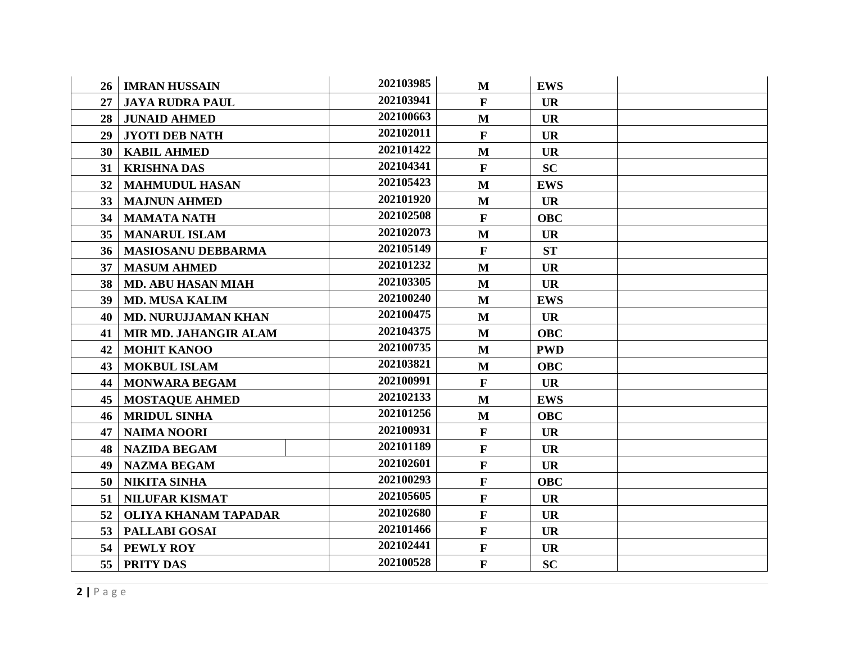| 26              | <b>IMRAN HUSSAIN</b>        | 202103985 | $\mathbf{M}$ | <b>EWS</b> |  |
|-----------------|-----------------------------|-----------|--------------|------------|--|
| 27              | <b>JAYA RUDRA PAUL</b>      | 202103941 | $\mathbf F$  | <b>UR</b>  |  |
| 28              | <b>JUNAID AHMED</b>         | 202100663 | $\mathbf{M}$ | <b>UR</b>  |  |
| 29              | <b>JYOTI DEB NATH</b>       | 202102011 | $\mathbf F$  | <b>UR</b>  |  |
| 30              | <b>KABIL AHMED</b>          | 202101422 | $\mathbf{M}$ | <b>UR</b>  |  |
| 31              | <b>KRISHNA DAS</b>          | 202104341 | $\mathbf F$  | <b>SC</b>  |  |
| 32 <sup>2</sup> | <b>MAHMUDUL HASAN</b>       | 202105423 | $\mathbf{M}$ | <b>EWS</b> |  |
| 33 <sup>1</sup> | <b>MAJNUN AHMED</b>         | 202101920 | $\mathbf{M}$ | <b>UR</b>  |  |
| 34              | <b>MAMATA NATH</b>          | 202102508 | $\mathbf F$  | <b>OBC</b> |  |
| 35 <sup>5</sup> | <b>MANARUL ISLAM</b>        | 202102073 | $\mathbf{M}$ | <b>UR</b>  |  |
| 36              | <b>MASIOSANU DEBBARMA</b>   | 202105149 | $\mathbf F$  | <b>ST</b>  |  |
| 37              | <b>MASUM AHMED</b>          | 202101232 | $\mathbf{M}$ | <b>UR</b>  |  |
| 38              | <b>MD. ABU HASAN MIAH</b>   | 202103305 | $\mathbf{M}$ | <b>UR</b>  |  |
| 39              | <b>MD. MUSA KALIM</b>       | 202100240 | $\mathbf{M}$ | <b>EWS</b> |  |
| 40              | <b>MD. NURUJJAMAN KHAN</b>  | 202100475 | $\mathbf{M}$ | <b>UR</b>  |  |
| 41              | MIR MD. JAHANGIR ALAM       | 202104375 | M            | <b>OBC</b> |  |
| 42              | <b>MOHIT KANOO</b>          | 202100735 | $\mathbf{M}$ | <b>PWD</b> |  |
| 43              | <b>MOKBUL ISLAM</b>         | 202103821 | M            | <b>OBC</b> |  |
| 44              | <b>MONWARA BEGAM</b>        | 202100991 | $\mathbf F$  | <b>UR</b>  |  |
| 45              | <b>MOSTAQUE AHMED</b>       | 202102133 | $\mathbf{M}$ | <b>EWS</b> |  |
| 46              | <b>MRIDUL SINHA</b>         | 202101256 | $\mathbf{M}$ | <b>OBC</b> |  |
| 47              | <b>NAIMA NOORI</b>          | 202100931 | $\mathbf{F}$ | <b>UR</b>  |  |
| 48              | <b>NAZIDA BEGAM</b>         | 202101189 | $\mathbf F$  | <b>UR</b>  |  |
| 49              | <b>NAZMA BEGAM</b>          | 202102601 | $\mathbf F$  | <b>UR</b>  |  |
| 50              | <b>NIKITA SINHA</b>         | 202100293 | $\mathbf F$  | <b>OBC</b> |  |
| 51              | NILUFAR KISMAT              | 202105605 | $\mathbf F$  | <b>UR</b>  |  |
| 52              | <b>OLIYA KHANAM TAPADAR</b> | 202102680 | $\mathbf F$  | <b>UR</b>  |  |
| 53              | <b>PALLABI GOSAI</b>        | 202101466 | $\mathbf F$  | <b>UR</b>  |  |
| 54              | PEWLY ROY                   | 202102441 | $\mathbf{F}$ | <b>UR</b>  |  |
| 55              | <b>PRITY DAS</b>            | 202100528 | $\mathbf F$  | <b>SC</b>  |  |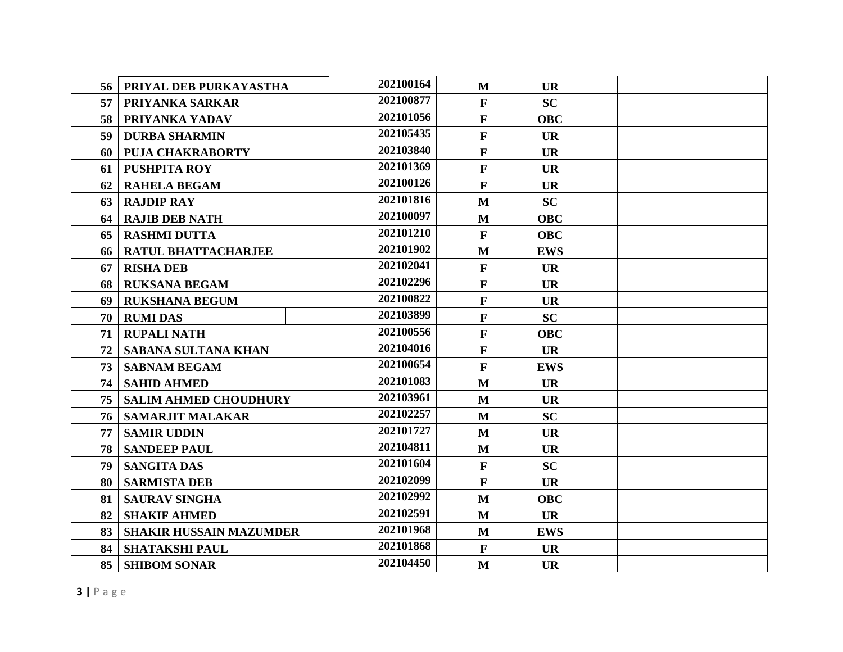| 56 | PRIYAL DEB PURKAYASTHA         | 202100164 | M            | <b>UR</b>  |  |
|----|--------------------------------|-----------|--------------|------------|--|
| 57 | PRIYANKA SARKAR                | 202100877 | $\mathbf F$  | <b>SC</b>  |  |
| 58 | PRIYANKA YADAV                 | 202101056 | $\mathbf F$  | <b>OBC</b> |  |
| 59 | <b>DURBA SHARMIN</b>           | 202105435 | $\mathbf F$  | <b>UR</b>  |  |
| 60 | <b>PUJA CHAKRABORTY</b>        | 202103840 | $\mathbf{F}$ | <b>UR</b>  |  |
| 61 | PUSHPITA ROY                   | 202101369 | $\mathbf F$  | <b>UR</b>  |  |
| 62 | <b>RAHELA BEGAM</b>            | 202100126 | $\mathbf{F}$ | <b>UR</b>  |  |
| 63 | <b>RAJDIP RAY</b>              | 202101816 | M            | <b>SC</b>  |  |
| 64 | <b>RAJIB DEB NATH</b>          | 202100097 | $\mathbf{M}$ | <b>OBC</b> |  |
| 65 | <b>RASHMI DUTTA</b>            | 202101210 | $\mathbf{F}$ | <b>OBC</b> |  |
| 66 | RATUL BHATTACHARJEE            | 202101902 | $\mathbf{M}$ | <b>EWS</b> |  |
| 67 | <b>RISHA DEB</b>               | 202102041 | $\mathbf F$  | <b>UR</b>  |  |
| 68 | <b>RUKSANA BEGAM</b>           | 202102296 | $\mathbf{F}$ | <b>UR</b>  |  |
| 69 | <b>RUKSHANA BEGUM</b>          | 202100822 | $\mathbf F$  | <b>UR</b>  |  |
| 70 | <b>RUMI DAS</b>                | 202103899 | $\mathbf F$  | <b>SC</b>  |  |
| 71 | <b>RUPALI NATH</b>             | 202100556 | $\mathbf F$  | <b>OBC</b> |  |
| 72 | <b>SABANA SULTANA KHAN</b>     | 202104016 | $\mathbf F$  | <b>UR</b>  |  |
| 73 | <b>SABNAM BEGAM</b>            | 202100654 | $\mathbf F$  | <b>EWS</b> |  |
| 74 | <b>SAHID AHMED</b>             | 202101083 | M            | <b>UR</b>  |  |
| 75 | <b>SALIM AHMED CHOUDHURY</b>   | 202103961 | M            | <b>UR</b>  |  |
| 76 | <b>SAMARJIT MALAKAR</b>        | 202102257 | M            | <b>SC</b>  |  |
| 77 | <b>SAMIR UDDIN</b>             | 202101727 | $\mathbf{M}$ | <b>UR</b>  |  |
| 78 | <b>SANDEEP PAUL</b>            | 202104811 | M            | <b>UR</b>  |  |
| 79 | <b>SANGITA DAS</b>             | 202101604 | $\mathbf F$  | <b>SC</b>  |  |
| 80 | <b>SARMISTA DEB</b>            | 202102099 | $\mathbf F$  | <b>UR</b>  |  |
| 81 | <b>SAURAV SINGHA</b>           | 202102992 | M            | <b>OBC</b> |  |
| 82 | <b>SHAKIF AHMED</b>            | 202102591 | M            | <b>UR</b>  |  |
| 83 | <b>SHAKIR HUSSAIN MAZUMDER</b> | 202101968 | M            | <b>EWS</b> |  |
| 84 | <b>SHATAKSHI PAUL</b>          | 202101868 | $\mathbf{F}$ | <b>UR</b>  |  |
| 85 | <b>SHIBOM SONAR</b>            | 202104450 | M            | <b>UR</b>  |  |